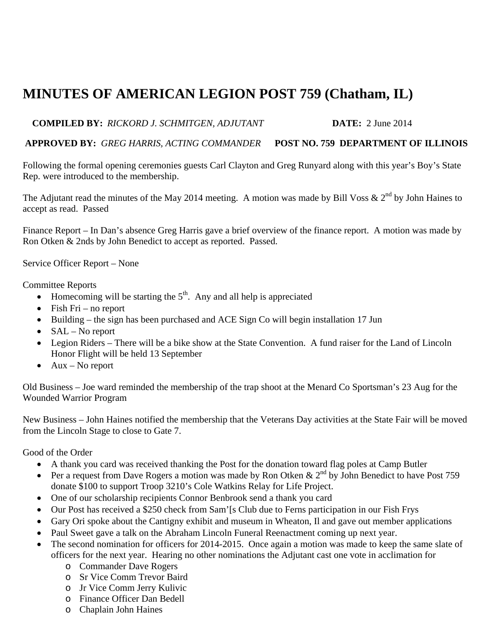## **MINUTES OF AMERICAN LEGION POST 759 (Chatham, IL)**

## **COMPILED BY:** *RICKORD J. SCHMITGEN, ADJUTANT* **DATE:** 2 June 2014

## **APPROVED BY:** *GREG HARRIS, ACTING COMMANDER* **POST NO. 759 DEPARTMENT OF ILLINOIS**

Following the formal opening ceremonies guests Carl Clayton and Greg Runyard along with this year's Boy's State Rep. were introduced to the membership.

The Adjutant read the minutes of the May 2014 meeting. A motion was made by Bill Voss  $\& 2^{nd}$  by John Haines to accept as read. Passed

Finance Report – In Dan's absence Greg Harris gave a brief overview of the finance report. A motion was made by Ron Otken & 2nds by John Benedict to accept as reported. Passed.

Service Officer Report – None

## Committee Reports

- $\bullet$  Homecoming will be starting the  $5<sup>th</sup>$ . Any and all help is appreciated
- $\bullet$  Fish Fri no report
- Building the sign has been purchased and ACE Sign Co will begin installation 17 Jun
- $SAL No report$
- Legion Riders There will be a bike show at the State Convention. A fund raiser for the Land of Lincoln Honor Flight will be held 13 September
- $\bullet$  Aux No report

Old Business – Joe ward reminded the membership of the trap shoot at the Menard Co Sportsman's 23 Aug for the Wounded Warrior Program

New Business – John Haines notified the membership that the Veterans Day activities at the State Fair will be moved from the Lincoln Stage to close to Gate 7.

Good of the Order

- A thank you card was received thanking the Post for the donation toward flag poles at Camp Butler
- Per a request from Dave Rogers a motion was made by Ron Otken &  $2^{nd}$  by John Benedict to have Post 759 donate \$100 to support Troop 3210's Cole Watkins Relay for Life Project.
- One of our scholarship recipients Connor Benbrook send a thank you card
- Our Post has received a \$250 check from Sam'[s Club due to Ferns participation in our Fish Frys
- Gary Ori spoke about the Cantigny exhibit and museum in Wheaton, Il and gave out member applications
- Paul Sweet gave a talk on the Abraham Lincoln Funeral Reenactment coming up next year.
- The second nomination for officers for 2014-2015. Once again a motion was made to keep the same slate of officers for the next year. Hearing no other nominations the Adjutant cast one vote in acclimation for
	- o Commander Dave Rogers
	- o Sr Vice Comm Trevor Baird
	- o Jr Vice Comm Jerry Kulivic
	- o Finance Officer Dan Bedell
	- o Chaplain John Haines